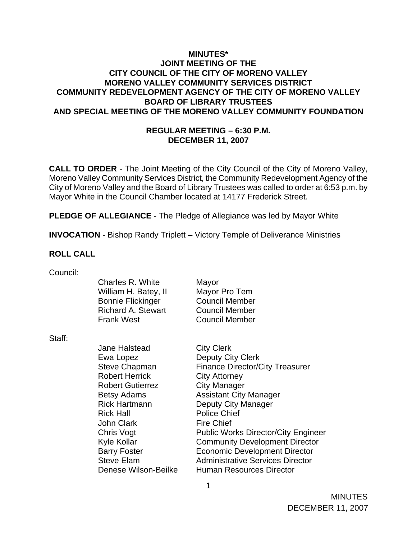### **MINUTES\* JOINT MEETING OF THE CITY COUNCIL OF THE CITY OF MORENO VALLEY MORENO VALLEY COMMUNITY SERVICES DISTRICT COMMUNITY REDEVELOPMENT AGENCY OF THE CITY OF MORENO VALLEY BOARD OF LIBRARY TRUSTEES AND SPECIAL MEETING OF THE MORENO VALLEY COMMUNITY FOUNDATION**

## **REGULAR MEETING – 6:30 P.M. DECEMBER 11, 2007**

**CALL TO ORDER** - The Joint Meeting of the City Council of the City of Moreno Valley, Moreno Valley Community Services District, the Community Redevelopment Agency of the City of Moreno Valley and the Board of Library Trustees was called to order at 6:53 p.m. by Mayor White in the Council Chamber located at 14177 Frederick Street.

**PLEDGE OF ALLEGIANCE** - The Pledge of Allegiance was led by Mayor White

**INVOCATION** - Bishop Randy Triplett – Victory Temple of Deliverance Ministries

#### **ROLL CALL**

| Council: |  |
|----------|--|
|          |  |
|          |  |

| Charles R. White          | Mayor                 |
|---------------------------|-----------------------|
| William H. Batey, II      | Mayor Pro Tem         |
| <b>Bonnie Flickinger</b>  | <b>Council Member</b> |
| <b>Richard A. Stewart</b> | <b>Council Member</b> |
| <b>Frank West</b>         | <b>Council Member</b> |
|                           |                       |

Staff:

Jane Halstead City Clerk Ewa Lopez Deputy City Clerk Steve Chapman Finance Director/City Treasurer Robert Herrick City Attorney Robert Gutierrez **City Manager** Betsy Adams **Assistant City Manager** Rick Hartmann Deputy City Manager Rick Hall Police Chief John Clark Fire Chief Chris Vogt Public Works Director/City Engineer Kyle Kollar **Community Development Director** Barry Foster **Economic Development Director** Steve Elam Administrative Services Director Denese Wilson-Beilke Human Resources Director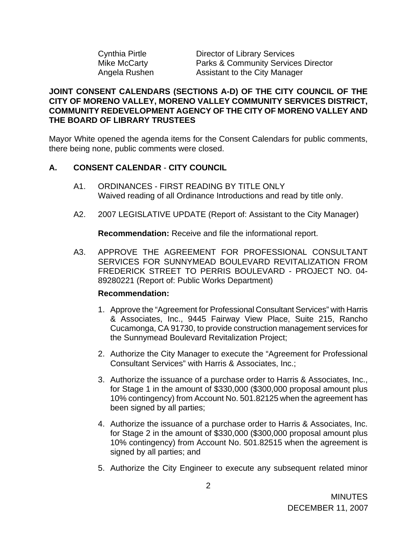| Cynthia Pirtle |
|----------------|
| Mike McCarty   |
| Angela Rushen  |

Director of Library Services Parks & Community Services Director Assistant to the City Manager

### **JOINT CONSENT CALENDARS (SECTIONS A-D) OF THE CITY COUNCIL OF THE CITY OF MORENO VALLEY, MORENO VALLEY COMMUNITY SERVICES DISTRICT, COMMUNITY REDEVELOPMENT AGENCY OF THE CITY OF MORENO VALLEY AND THE BOARD OF LIBRARY TRUSTEES**

Mayor White opened the agenda items for the Consent Calendars for public comments, there being none, public comments were closed.

## **A. CONSENT CALENDAR** - **CITY COUNCIL**

- A1. ORDINANCES FIRST READING BY TITLE ONLY Waived reading of all Ordinance Introductions and read by title only.
- A2. 2007 LEGISLATIVE UPDATE (Report of: Assistant to the City Manager)

**Recommendation:** Receive and file the informational report.

A3. APPROVE THE AGREEMENT FOR PROFESSIONAL CONSULTANT SERVICES FOR SUNNYMEAD BOULEVARD REVITALIZATION FROM FREDERICK STREET TO PERRIS BOULEVARD - PROJECT NO. 04- 89280221 (Report of: Public Works Department)

#### **Recommendation:**

- 1. Approve the "Agreement for Professional Consultant Services" with Harris & Associates, Inc., 9445 Fairway View Place, Suite 215, Rancho Cucamonga, CA 91730, to provide construction management services for the Sunnymead Boulevard Revitalization Project;
- 2. Authorize the City Manager to execute the "Agreement for Professional Consultant Services" with Harris & Associates, Inc.;
- 3. Authorize the issuance of a purchase order to Harris & Associates, Inc., for Stage 1 in the amount of \$330,000 (\$300,000 proposal amount plus 10% contingency) from Account No. 501.82125 when the agreement has been signed by all parties;
- 4. Authorize the issuance of a purchase order to Harris & Associates, Inc. for Stage 2 in the amount of \$330,000 (\$300,000 proposal amount plus 10% contingency) from Account No. 501.82515 when the agreement is signed by all parties; and
- 5. Authorize the City Engineer to execute any subsequent related minor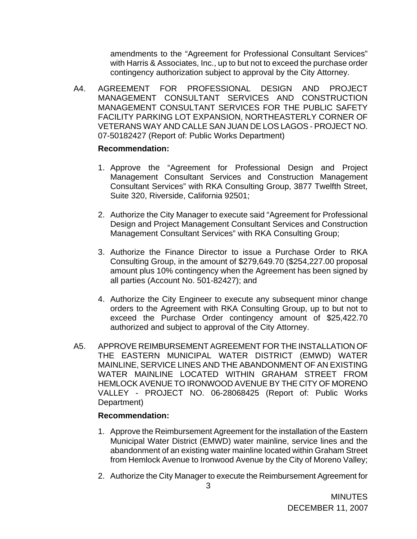amendments to the "Agreement for Professional Consultant Services" with Harris & Associates, Inc., up to but not to exceed the purchase order contingency authorization subject to approval by the City Attorney.

A4. AGREEMENT FOR PROFESSIONAL DESIGN AND PROJECT MANAGEMENT CONSULTANT SERVICES AND CONSTRUCTION MANAGEMENT CONSULTANT SERVICES FOR THE PUBLIC SAFETY FACILITY PARKING LOT EXPANSION, NORTHEASTERLY CORNER OF VETERANS WAY AND CALLE SAN JUAN DE LOS LAGOS - PROJECT NO. 07-50182427 (Report of: Public Works Department)

### **Recommendation:**

- 1. Approve the "Agreement for Professional Design and Project Management Consultant Services and Construction Management Consultant Services" with RKA Consulting Group, 3877 Twelfth Street, Suite 320, Riverside, California 92501;
- 2. Authorize the City Manager to execute said "Agreement for Professional Design and Project Management Consultant Services and Construction Management Consultant Services" with RKA Consulting Group;
- 3. Authorize the Finance Director to issue a Purchase Order to RKA Consulting Group, in the amount of \$279,649.70 (\$254,227.00 proposal amount plus 10% contingency when the Agreement has been signed by all parties (Account No. 501-82427); and
- 4. Authorize the City Engineer to execute any subsequent minor change orders to the Agreement with RKA Consulting Group, up to but not to exceed the Purchase Order contingency amount of \$25,422.70 authorized and subject to approval of the City Attorney.
- A5. APPROVE REIMBURSEMENT AGREEMENT FOR THE INSTALLATION OF THE EASTERN MUNICIPAL WATER DISTRICT (EMWD) WATER MAINLINE, SERVICE LINES AND THE ABANDONMENT OF AN EXISTING WATER MAINLINE LOCATED WITHIN GRAHAM STREET FROM HEMLOCK AVENUE TO IRONWOOD AVENUE BY THE CITY OF MORENO VALLEY - PROJECT NO. 06-28068425 (Report of: Public Works Department)

# **Recommendation:**

- 1. Approve the Reimbursement Agreement for the installation of the Eastern Municipal Water District (EMWD) water mainline, service lines and the abandonment of an existing water mainline located within Graham Street from Hemlock Avenue to Ironwood Avenue by the City of Moreno Valley;
- 2. Authorize the City Manager to execute the Reimbursement Agreement for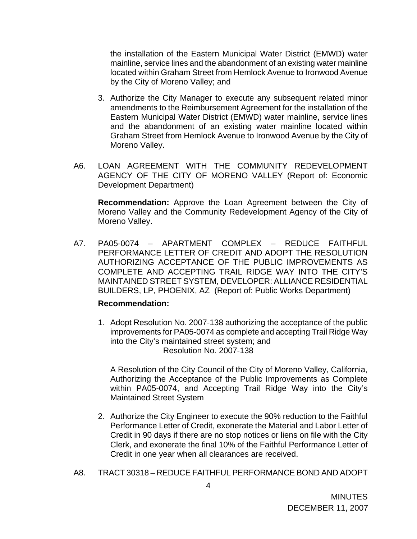the installation of the Eastern Municipal Water District (EMWD) water mainline, service lines and the abandonment of an existing water mainline located within Graham Street from Hemlock Avenue to Ironwood Avenue by the City of Moreno Valley; and

- 3. Authorize the City Manager to execute any subsequent related minor amendments to the Reimbursement Agreement for the installation of the Eastern Municipal Water District (EMWD) water mainline, service lines and the abandonment of an existing water mainline located within Graham Street from Hemlock Avenue to Ironwood Avenue by the City of Moreno Valley.
- A6. LOAN AGREEMENT WITH THE COMMUNITY REDEVELOPMENT AGENCY OF THE CITY OF MORENO VALLEY (Report of: Economic Development Department)

**Recommendation:** Approve the Loan Agreement between the City of Moreno Valley and the Community Redevelopment Agency of the City of Moreno Valley.

A7. PA05-0074 – APARTMENT COMPLEX – REDUCE FAITHFUL PERFORMANCE LETTER OF CREDIT AND ADOPT THE RESOLUTION AUTHORIZING ACCEPTANCE OF THE PUBLIC IMPROVEMENTS AS COMPLETE AND ACCEPTING TRAIL RIDGE WAY INTO THE CITY'S MAINTAINED STREET SYSTEM, DEVELOPER: ALLIANCE RESIDENTIAL BUILDERS, LP, PHOENIX, AZ (Report of: Public Works Department)

#### **Recommendation:**

1. Adopt Resolution No. 2007-138 authorizing the acceptance of the public improvements for PA05-0074 as complete and accepting Trail Ridge Way into the City's maintained street system; and Resolution No. 2007-138

A Resolution of the City Council of the City of Moreno Valley, California, Authorizing the Acceptance of the Public Improvements as Complete within PA05-0074, and Accepting Trail Ridge Way into the City's Maintained Street System

- 2. Authorize the City Engineer to execute the 90% reduction to the Faithful Performance Letter of Credit, exonerate the Material and Labor Letter of Credit in 90 days if there are no stop notices or liens on file with the City Clerk, and exonerate the final 10% of the Faithful Performance Letter of Credit in one year when all clearances are received.
- A8. TRACT 30318 REDUCE FAITHFUL PERFORMANCE BOND AND ADOPT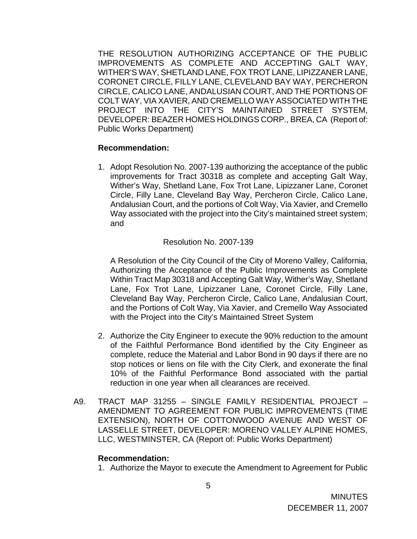THE RESOLUTION AUTHORIZING ACCEPTANCE OF THE PUBLIC IMPROVEMENTS AS COMPLETE AND ACCEPTING GALT WAY, WITHER'S WAY, SHETLAND LANE, FOX TROT LANE, LIPIZZANER LANE, CORONET CIRCLE, FILLY LANE, CLEVELAND BAY WAY, PERCHERON CIRCLE, CALICO LANE, ANDALUSIAN COURT, AND THE PORTIONS OF COLT WAY, VIA XAVIER, AND CREMELLO WAY ASSOCIATED WITH THE PROJECT INTO THE CITY'S MAINTAINED STREET SYSTEM, DEVELOPER: BEAZER HOMES HOLDINGS CORP., BREA, CA (Report of: Public Works Department)

#### **Recommendation:**

1. Adopt Resolution No. 2007-139 authorizing the acceptance of the public improvements for Tract 30318 as complete and accepting Galt Way, Wither's Way, Shetland Lane, Fox Trot Lane, Lipizzaner Lane, Coronet Circle, Filly Lane, Cleveland Bay Way, Percheron Circle, Calico Lane, Andalusian Court, and the portions of Colt Way, Via Xavier, and Cremello Way associated with the project into the City's maintained street system; and

#### Resolution No. 2007-139

A Resolution of the City Council of the City of Moreno Valley, California, Authorizing the Acceptance of the Public Improvements as Complete Within Tract Map 30318 and Accepting Galt Way, Wither's Way, Shetland Lane, Fox Trot Lane, Lipizzaner Lane, Coronet Circle, Filly Lane, Cleveland Bay Way, Percheron Circle, Calico Lane, Andalusian Court, and the Portions of Colt Way, Via Xavier, and Cremello Way Associated with the Project into the City's Maintained Street System

- 2. Authorize the City Engineer to execute the 90% reduction to the amount of the Faithful Performance Bond identified by the City Engineer as complete, reduce the Material and Labor Bond in 90 days if there are no stop notices or liens on file with the City Clerk, and exonerate the final 10% of the Faithful Performance Bond associated with the partial reduction in one year when all clearances are received.
- A9. TRACT MAP 31255 SINGLE FAMILY RESIDENTIAL PROJECT AMENDMENT TO AGREEMENT FOR PUBLIC IMPROVEMENTS (TIME EXTENSION), NORTH OF COTTONWOOD AVENUE AND WEST OF LASSELLE STREET, DEVELOPER: MORENO VALLEY ALPINE HOMES, LLC, WESTMINSTER, CA (Report of: Public Works Department)

#### **Recommendation:**

1. Authorize the Mayor to execute the Amendment to Agreement for Public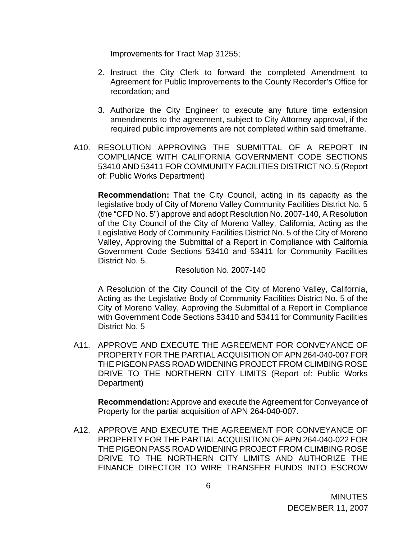Improvements for Tract Map 31255;

- 2. Instruct the City Clerk to forward the completed Amendment to Agreement for Public Improvements to the County Recorder's Office for recordation; and
- 3. Authorize the City Engineer to execute any future time extension amendments to the agreement, subject to City Attorney approval, if the required public improvements are not completed within said timeframe.
- A10. RESOLUTION APPROVING THE SUBMITTAL OF A REPORT IN COMPLIANCE WITH CALIFORNIA GOVERNMENT CODE SECTIONS 53410 AND 53411 FOR COMMUNITY FACILITIES DISTRICT NO. 5 (Report of: Public Works Department)

 **Recommendation:** That the City Council, acting in its capacity as the legislative body of City of Moreno Valley Community Facilities District No. 5 (the "CFD No. 5") approve and adopt Resolution No. 2007-140, A Resolution of the City Council of the City of Moreno Valley, California, Acting as the Legislative Body of Community Facilities District No. 5 of the City of Moreno Valley, Approving the Submittal of a Report in Compliance with California Government Code Sections 53410 and 53411 for Community Facilities District No. 5.

Resolution No. 2007-140

A Resolution of the City Council of the City of Moreno Valley, California, Acting as the Legislative Body of Community Facilities District No. 5 of the City of Moreno Valley, Approving the Submittal of a Report in Compliance with Government Code Sections 53410 and 53411 for Community Facilities District No. 5

A11. APPROVE AND EXECUTE THE AGREEMENT FOR CONVEYANCE OF PROPERTY FOR THE PARTIAL ACQUISITION OF APN 264-040-007 FOR THE PIGEON PASS ROAD WIDENING PROJECT FROM CLIMBING ROSE DRIVE TO THE NORTHERN CITY LIMITS (Report of: Public Works Department)

**Recommendation:** Approve and execute the Agreement for Conveyance of Property for the partial acquisition of APN 264-040-007.

A12. APPROVE AND EXECUTE THE AGREEMENT FOR CONVEYANCE OF PROPERTY FOR THE PARTIAL ACQUISITION OF APN 264-040-022 FOR THE PIGEON PASS ROAD WIDENING PROJECT FROM CLIMBING ROSE DRIVE TO THE NORTHERN CITY LIMITS AND AUTHORIZE THE FINANCE DIRECTOR TO WIRE TRANSFER FUNDS INTO ESCROW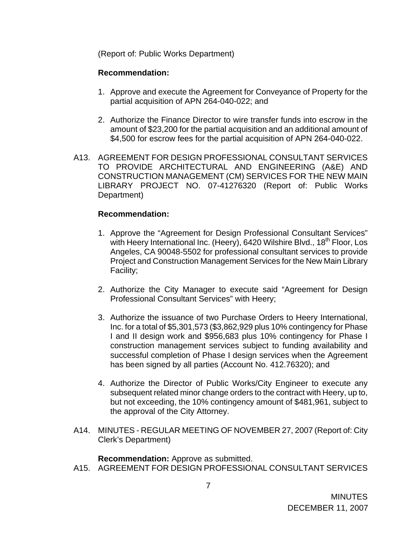(Report of: Public Works Department)

# **Recommendation:**

- 1. Approve and execute the Agreement for Conveyance of Property for the partial acquisition of APN 264-040-022; and
- 2. Authorize the Finance Director to wire transfer funds into escrow in the amount of \$23,200 for the partial acquisition and an additional amount of \$4,500 for escrow fees for the partial acquisition of APN 264-040-022.
- A13. AGREEMENT FOR DESIGN PROFESSIONAL CONSULTANT SERVICES TO PROVIDE ARCHITECTURAL AND ENGINEERING (A&E) AND CONSTRUCTION MANAGEMENT (CM) SERVICES FOR THE NEW MAIN LIBRARY PROJECT NO. 07-41276320 (Report of: Public Works Department)

# **Recommendation:**

- 1. Approve the "Agreement for Design Professional Consultant Services" with Heery International Inc. (Heery), 6420 Wilshire Blvd., 18<sup>th</sup> Floor, Los Angeles, CA 90048-5502 for professional consultant services to provide Project and Construction Management Services for the New Main Library Facility;
- 2. Authorize the City Manager to execute said "Agreement for Design Professional Consultant Services" with Heery;
- 3. Authorize the issuance of two Purchase Orders to Heery International, Inc. for a total of \$5,301,573 (\$3,862,929 plus 10% contingency for Phase I and II design work and \$956,683 plus 10% contingency for Phase I construction management services subject to funding availability and successful completion of Phase I design services when the Agreement has been signed by all parties (Account No. 412.76320); and
- 4. Authorize the Director of Public Works/City Engineer to execute any subsequent related minor change orders to the contract with Heery, up to, but not exceeding, the 10% contingency amount of \$481,961, subject to the approval of the City Attorney.
- A14. MINUTES REGULAR MEETING OF NOVEMBER 27, 2007 (Report of: City Clerk's Department)

**Recommendation:** Approve as submitted.

A15. AGREEMENT FOR DESIGN PROFESSIONAL CONSULTANT SERVICES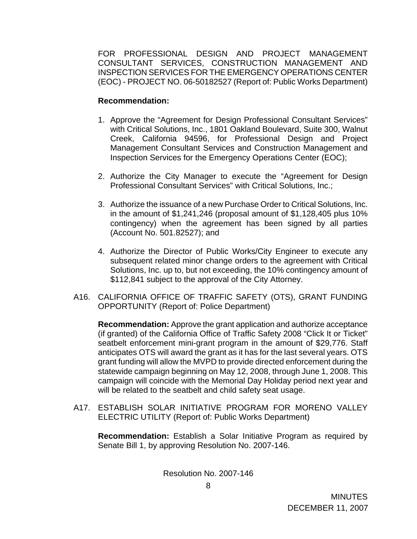FOR PROFESSIONAL DESIGN AND PROJECT MANAGEMENT CONSULTANT SERVICES, CONSTRUCTION MANAGEMENT AND INSPECTION SERVICES FOR THE EMERGENCY OPERATIONS CENTER (EOC) - PROJECT NO. 06-50182527 (Report of: Public Works Department)

## **Recommendation:**

- 1. Approve the "Agreement for Design Professional Consultant Services" with Critical Solutions, Inc., 1801 Oakland Boulevard, Suite 300, Walnut Creek, California 94596, for Professional Design and Project Management Consultant Services and Construction Management and Inspection Services for the Emergency Operations Center (EOC);
- 2. Authorize the City Manager to execute the "Agreement for Design Professional Consultant Services" with Critical Solutions, Inc.;
- 3. Authorize the issuance of a new Purchase Order to Critical Solutions, Inc. in the amount of \$1,241,246 (proposal amount of \$1,128,405 plus 10% contingency) when the agreement has been signed by all parties (Account No. 501.82527); and
- 4. Authorize the Director of Public Works/City Engineer to execute any subsequent related minor change orders to the agreement with Critical Solutions, Inc. up to, but not exceeding, the 10% contingency amount of \$112,841 subject to the approval of the City Attorney.
- A16. CALIFORNIA OFFICE OF TRAFFIC SAFETY (OTS), GRANT FUNDING OPPORTUNITY (Report of: Police Department)

**Recommendation:** Approve the grant application and authorize acceptance (if granted) of the California Office of Traffic Safety 2008 "Click It or Ticket" seatbelt enforcement mini-grant program in the amount of \$29,776. Staff anticipates OTS will award the grant as it has for the last several years. OTS grant funding will allow the MVPD to provide directed enforcement during the statewide campaign beginning on May 12, 2008, through June 1, 2008. This campaign will coincide with the Memorial Day Holiday period next year and will be related to the seatbelt and child safety seat usage.

A17. ESTABLISH SOLAR INITIATIVE PROGRAM FOR MORENO VALLEY ELECTRIC UTILITY (Report of: Public Works Department)

 **Recommendation:** Establish a Solar Initiative Program as required by Senate Bill 1, by approving Resolution No. 2007-146.

Resolution No. 2007-146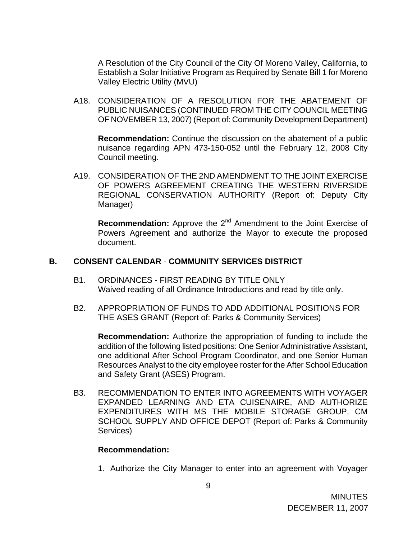A Resolution of the City Council of the City Of Moreno Valley, California, to Establish a Solar Initiative Program as Required by Senate Bill 1 for Moreno Valley Electric Utility (MVU)

A18. CONSIDERATION OF A RESOLUTION FOR THE ABATEMENT OF PUBLIC NUISANCES (CONTINUED FROM THE CITY COUNCIL MEETING OF NOVEMBER 13, 2007) (Report of: Community Development Department)

**Recommendation:** Continue the discussion on the abatement of a public nuisance regarding APN 473-150-052 until the February 12, 2008 City Council meeting.

A19. CONSIDERATION OF THE 2ND AMENDMENT TO THE JOINT EXERCISE OF POWERS AGREEMENT CREATING THE WESTERN RIVERSIDE REGIONAL CONSERVATION AUTHORITY (Report of: Deputy City Manager)

**Recommendation:** Approve the 2<sup>nd</sup> Amendment to the Joint Exercise of Powers Agreement and authorize the Mayor to execute the proposed document.

#### **B. CONSENT CALENDAR** - **COMMUNITY SERVICES DISTRICT**

- B1. ORDINANCES FIRST READING BY TITLE ONLY Waived reading of all Ordinance Introductions and read by title only.
- B2. APPROPRIATION OF FUNDS TO ADD ADDITIONAL POSITIONS FOR THE ASES GRANT (Report of: Parks & Community Services)

**Recommendation:** Authorize the appropriation of funding to include the addition of the following listed positions: One Senior Administrative Assistant, one additional After School Program Coordinator, and one Senior Human Resources Analyst to the city employee roster for the After School Education and Safety Grant (ASES) Program.

B3. RECOMMENDATION TO ENTER INTO AGREEMENTS WITH VOYAGER EXPANDED LEARNING AND ETA CUISENAIRE, AND AUTHORIZE EXPENDITURES WITH MS THE MOBILE STORAGE GROUP, CM SCHOOL SUPPLY AND OFFICE DEPOT (Report of: Parks & Community Services)

#### **Recommendation:**

1. Authorize the City Manager to enter into an agreement with Voyager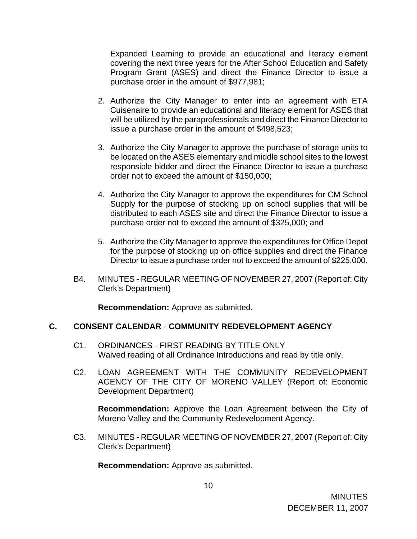Expanded Learning to provide an educational and literacy element covering the next three years for the After School Education and Safety Program Grant (ASES) and direct the Finance Director to issue a purchase order in the amount of \$977,981;

- 2. Authorize the City Manager to enter into an agreement with ETA Cuisenaire to provide an educational and literacy element for ASES that will be utilized by the paraprofessionals and direct the Finance Director to issue a purchase order in the amount of \$498,523;
- 3. Authorize the City Manager to approve the purchase of storage units to be located on the ASES elementary and middle school sites to the lowest responsible bidder and direct the Finance Director to issue a purchase order not to exceed the amount of \$150,000;
- 4. Authorize the City Manager to approve the expenditures for CM School Supply for the purpose of stocking up on school supplies that will be distributed to each ASES site and direct the Finance Director to issue a purchase order not to exceed the amount of \$325,000; and
- 5. Authorize the City Manager to approve the expenditures for Office Depot for the purpose of stocking up on office supplies and direct the Finance Director to issue a purchase order not to exceed the amount of \$225,000.
- B4. MINUTES REGULAR MEETING OF NOVEMBER 27, 2007 (Report of: City Clerk's Department)

**Recommendation:** Approve as submitted.

### **C. CONSENT CALENDAR** - **COMMUNITY REDEVELOPMENT AGENCY**

- C1. ORDINANCES FIRST READING BY TITLE ONLY Waived reading of all Ordinance Introductions and read by title only.
- C2. LOAN AGREEMENT WITH THE COMMUNITY REDEVELOPMENT AGENCY OF THE CITY OF MORENO VALLEY (Report of: Economic Development Department)

**Recommendation:** Approve the Loan Agreement between the City of Moreno Valley and the Community Redevelopment Agency.

C3. MINUTES - REGULAR MEETING OF NOVEMBER 27, 2007 (Report of: City Clerk's Department)

**Recommendation:** Approve as submitted.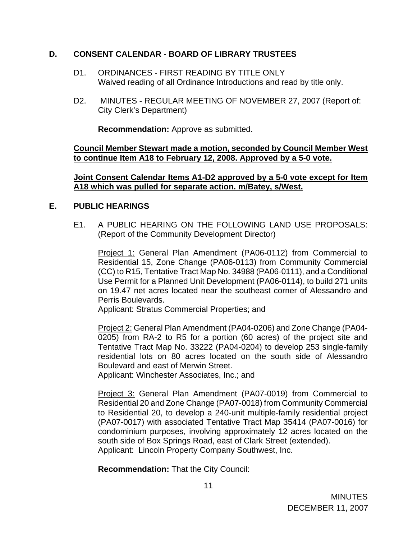## **D. CONSENT CALENDAR** - **BOARD OF LIBRARY TRUSTEES**

- D1. ORDINANCES FIRST READING BY TITLE ONLY Waived reading of all Ordinance Introductions and read by title only.
- D2. MINUTES REGULAR MEETING OF NOVEMBER 27, 2007 (Report of: City Clerk's Department)

**Recommendation:** Approve as submitted.

**Council Member Stewart made a motion, seconded by Council Member West to continue Item A18 to February 12, 2008. Approved by a 5-0 vote.**

**Joint Consent Calendar Items A1-D2 approved by a 5-0 vote except for Item A18 which was pulled for separate action. m/Batey, s/West.**

### **E. PUBLIC HEARINGS**

E1. A PUBLIC HEARING ON THE FOLLOWING LAND USE PROPOSALS: (Report of the Community Development Director)

Project 1: General Plan Amendment (PA06-0112) from Commercial to Residential 15, Zone Change (PA06-0113) from Community Commercial (CC) to R15, Tentative Tract Map No. 34988 (PA06-0111), and a Conditional Use Permit for a Planned Unit Development (PA06-0114), to build 271 units on 19.47 net acres located near the southeast corner of Alessandro and Perris Boulevards.

Applicant: Stratus Commercial Properties; and

 Project 2: General Plan Amendment (PA04-0206) and Zone Change (PA04- 0205) from RA-2 to R5 for a portion (60 acres) of the project site and Tentative Tract Map No. 33222 (PA04-0204) to develop 253 single-family residential lots on 80 acres located on the south side of Alessandro Boulevard and east of Merwin Street.

Applicant: Winchester Associates, Inc.; and

 Project 3: General Plan Amendment (PA07-0019) from Commercial to Residential 20 and Zone Change (PA07-0018) from Community Commercial to Residential 20, to develop a 240-unit multiple-family residential project (PA07-0017) with associated Tentative Tract Map 35414 (PA07-0016) for condominium purposes, involving approximately 12 acres located on the south side of Box Springs Road, east of Clark Street (extended). Applicant: Lincoln Property Company Southwest, Inc.

**Recommendation:** That the City Council: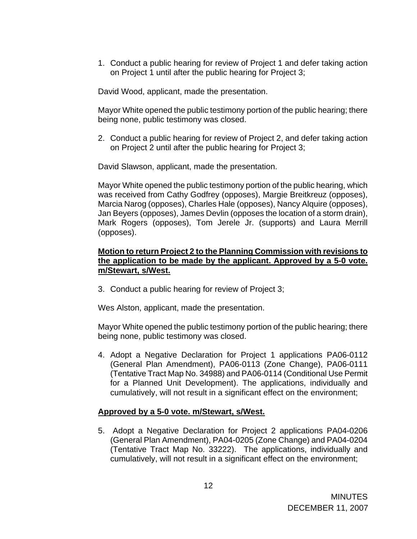1. Conduct a public hearing for review of Project 1 and defer taking action on Project 1 until after the public hearing for Project 3;

David Wood, applicant, made the presentation.

Mayor White opened the public testimony portion of the public hearing; there being none, public testimony was closed.

2. Conduct a public hearing for review of Project 2, and defer taking action on Project 2 until after the public hearing for Project 3;

David Slawson, applicant, made the presentation.

Mayor White opened the public testimony portion of the public hearing, which was received from Cathy Godfrey (opposes), Margie Breitkreuz (opposes), Marcia Narog (opposes), Charles Hale (opposes), Nancy Alquire (opposes), Jan Beyers (opposes), James Devlin (opposes the location of a storm drain), Mark Rogers (opposes), Tom Jerele Jr. (supports) and Laura Merrill (opposes).

### **Motion to return Project 2 to the Planning Commission with revisions to the application to be made by the applicant. Approved by a 5-0 vote. m/Stewart, s/West.**

3. Conduct a public hearing for review of Project 3;

Wes Alston, applicant, made the presentation.

Mayor White opened the public testimony portion of the public hearing; there being none, public testimony was closed.

4. Adopt a Negative Declaration for Project 1 applications PA06-0112 (General Plan Amendment), PA06-0113 (Zone Change), PA06-0111 (Tentative Tract Map No. 34988) and PA06-0114 (Conditional Use Permit for a Planned Unit Development). The applications, individually and cumulatively, will not result in a significant effect on the environment;

# **Approved by a 5-0 vote. m/Stewart, s/West.**

5. Adopt a Negative Declaration for Project 2 applications PA04-0206 (General Plan Amendment), PA04-0205 (Zone Change) and PA04-0204 (Tentative Tract Map No. 33222). The applications, individually and cumulatively, will not result in a significant effect on the environment;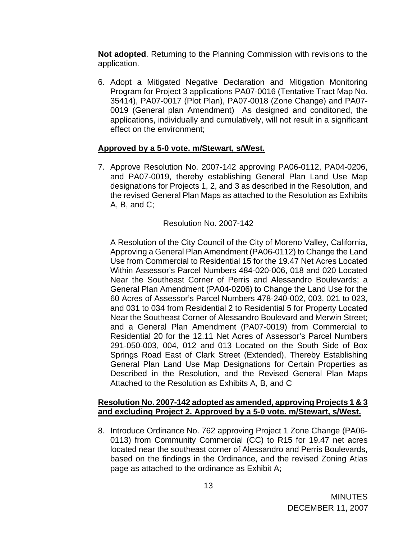**Not adopted**. Returning to the Planning Commission with revisions to the application.

6. Adopt a Mitigated Negative Declaration and Mitigation Monitoring Program for Project 3 applications PA07-0016 (Tentative Tract Map No. 35414), PA07-0017 (Plot Plan), PA07-0018 (Zone Change) and PA07- 0019 (General plan Amendment) As designed and conditoned, the applications, individually and cumulatively, will not result in a significant effect on the environment;

## **Approved by a 5-0 vote. m/Stewart, s/West.**

7. Approve Resolution No. 2007-142 approving PA06-0112, PA04-0206, and PA07-0019, thereby establishing General Plan Land Use Map designations for Projects 1, 2, and 3 as described in the Resolution, and the revised General Plan Maps as attached to the Resolution as Exhibits  $A$ ,  $B$ , and  $C$ ;

## Resolution No. 2007-142

A Resolution of the City Council of the City of Moreno Valley, California, Approving a General Plan Amendment (PA06-0112) to Change the Land Use from Commercial to Residential 15 for the 19.47 Net Acres Located Within Assessor's Parcel Numbers 484-020-006, 018 and 020 Located Near the Southeast Corner of Perris and Alessandro Boulevards; a General Plan Amendment (PA04-0206) to Change the Land Use for the 60 Acres of Assessor's Parcel Numbers 478-240-002, 003, 021 to 023, and 031 to 034 from Residential 2 to Residential 5 for Property Located Near the Southeast Corner of Alessandro Boulevard and Merwin Street; and a General Plan Amendment (PA07-0019) from Commercial to Residential 20 for the 12.11 Net Acres of Assessor's Parcel Numbers 291-050-003, 004, 012 and 013 Located on the South Side of Box Springs Road East of Clark Street (Extended), Thereby Establishing General Plan Land Use Map Designations for Certain Properties as Described in the Resolution, and the Revised General Plan Maps Attached to the Resolution as Exhibits A, B, and C

### **Resolution No. 2007-142 adopted as amended, approving Projects 1 & 3 and excluding Project 2. Approved by a 5-0 vote. m/Stewart, s/West.**

8. Introduce Ordinance No. 762 approving Project 1 Zone Change (PA06- 0113) from Community Commercial (CC) to R15 for 19.47 net acres located near the southeast corner of Alessandro and Perris Boulevards, based on the findings in the Ordinance, and the revised Zoning Atlas page as attached to the ordinance as Exhibit A;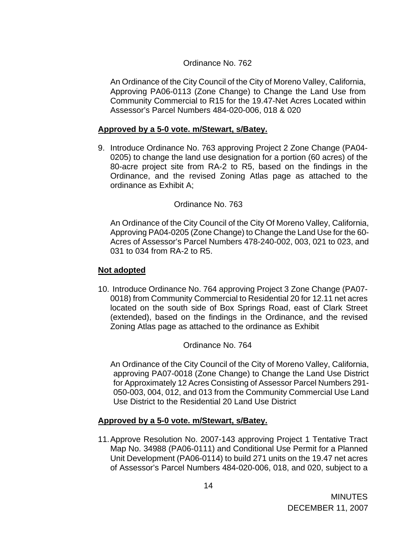# Ordinance No. 762

An Ordinance of the City Council of the City of Moreno Valley, California, Approving PA06-0113 (Zone Change) to Change the Land Use from Community Commercial to R15 for the 19.47-Net Acres Located within Assessor's Parcel Numbers 484-020-006, 018 & 020

### **Approved by a 5-0 vote. m/Stewart, s/Batey.**

9. Introduce Ordinance No. 763 approving Project 2 Zone Change (PA04- 0205) to change the land use designation for a portion (60 acres) of the 80-acre project site from RA-2 to R5, based on the findings in the Ordinance, and the revised Zoning Atlas page as attached to the ordinance as Exhibit A;

### Ordinance No. 763

An Ordinance of the City Council of the City Of Moreno Valley, California, Approving PA04-0205 (Zone Change) to Change the Land Use for the 60- Acres of Assessor's Parcel Numbers 478-240-002, 003, 021 to 023, and 031 to 034 from RA-2 to R5.

#### **Not adopted**

10. Introduce Ordinance No. 764 approving Project 3 Zone Change (PA07- 0018) from Community Commercial to Residential 20 for 12.11 net acres located on the south side of Box Springs Road, east of Clark Street (extended), based on the findings in the Ordinance, and the revised Zoning Atlas page as attached to the ordinance as Exhibit

Ordinance No. 764

An Ordinance of the City Council of the City of Moreno Valley, California, approving PA07-0018 (Zone Change) to Change the Land Use District for Approximately 12 Acres Consisting of Assessor Parcel Numbers 291- 050-003, 004, 012, and 013 from the Community Commercial Use Land Use District to the Residential 20 Land Use District

### **Approved by a 5-0 vote. m/Stewart, s/Batey.**

11. Approve Resolution No. 2007-143 approving Project 1 Tentative Tract Map No. 34988 (PA06-0111) and Conditional Use Permit for a Planned Unit Development (PA06-0114) to build 271 units on the 19.47 net acres of Assessor's Parcel Numbers 484-020-006, 018, and 020, subject to a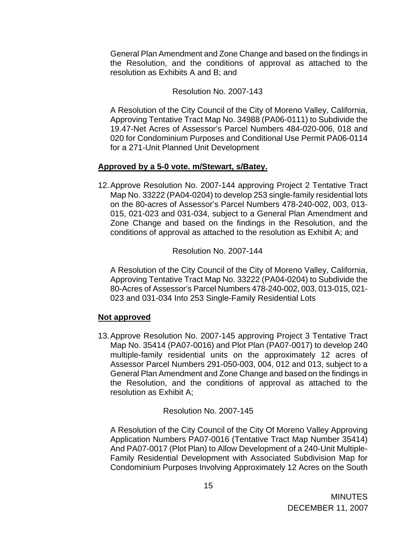General Plan Amendment and Zone Change and based on the findings in the Resolution, and the conditions of approval as attached to the resolution as Exhibits A and B; and

## Resolution No. 2007-143

A Resolution of the City Council of the City of Moreno Valley, California, Approving Tentative Tract Map No. 34988 (PA06-0111) to Subdivide the 19.47-Net Acres of Assessor's Parcel Numbers 484-020-006, 018 and 020 for Condominium Purposes and Conditional Use Permit PA06-0114 for a 271-Unit Planned Unit Development

# **Approved by a 5-0 vote. m/Stewart, s/Batey.**

12. Approve Resolution No. 2007-144 approving Project 2 Tentative Tract Map No. 33222 (PA04-0204) to develop 253 single-family residential lots on the 80-acres of Assessor's Parcel Numbers 478-240-002, 003, 013- 015, 021-023 and 031-034, subject to a General Plan Amendment and Zone Change and based on the findings in the Resolution, and the conditions of approval as attached to the resolution as Exhibit A; and

Resolution No. 2007-144

A Resolution of the City Council of the City of Moreno Valley, California, Approving Tentative Tract Map No. 33222 (PA04-0204) to Subdivide the 80-Acres of Assessor's Parcel Numbers 478-240-002, 003, 013-015, 021- 023 and 031-034 Into 253 Single-Family Residential Lots

# **Not approved**

13. Approve Resolution No. 2007-145 approving Project 3 Tentative Tract Map No. 35414 (PA07-0016) and Plot Plan (PA07-0017) to develop 240 multiple-family residential units on the approximately 12 acres of Assessor Parcel Numbers 291-050-003, 004, 012 and 013, subject to a General Plan Amendment and Zone Change and based on the findings in the Resolution, and the conditions of approval as attached to the resolution as Exhibit A;

Resolution No. 2007-145

A Resolution of the City Council of the City Of Moreno Valley Approving Application Numbers PA07-0016 (Tentative Tract Map Number 35414) And PA07-0017 (Plot Plan) to Allow Development of a 240-Unit Multiple-Family Residential Development with Associated Subdivision Map for Condominium Purposes Involving Approximately 12 Acres on the South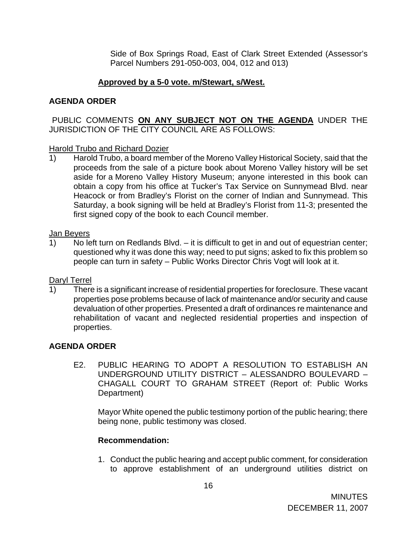Side of Box Springs Road, East of Clark Street Extended (Assessor's Parcel Numbers 291-050-003, 004, 012 and 013)

# **Approved by a 5-0 vote. m/Stewart, s/West.**

# **AGENDA ORDER**

# PUBLIC COMMENTS **ON ANY SUBJECT NOT ON THE AGENDA** UNDER THE JURISDICTION OF THE CITY COUNCIL ARE AS FOLLOWS:

# Harold Trubo and Richard Dozier

1) Harold Trubo, a board member of the Moreno Valley Historical Society, said that the proceeds from the sale of a picture book about Moreno Valley history will be set aside for a Moreno Valley History Museum; anyone interested in this book can obtain a copy from his office at Tucker's Tax Service on Sunnymead Blvd. near Heacock or from Bradley's Florist on the corner of Indian and Sunnymead. This Saturday, a book signing will be held at Bradley's Florist from 11-3; presented the first signed copy of the book to each Council member.

# Jan Beyers

1) No left turn on Redlands Blvd. – it is difficult to get in and out of equestrian center; questioned why it was done this way; need to put signs; asked to fix this problem so people can turn in safety – Public Works Director Chris Vogt will look at it.

# Daryl Terrel

1) There is a significant increase of residential properties for foreclosure. These vacant properties pose problems because of lack of maintenance and/or security and cause devaluation of other properties. Presented a draft of ordinances re maintenance and rehabilitation of vacant and neglected residential properties and inspection of properties.

# **AGENDA ORDER**

E2. PUBLIC HEARING TO ADOPT A RESOLUTION TO ESTABLISH AN UNDERGROUND UTILITY DISTRICT – ALESSANDRO BOULEVARD – CHAGALL COURT TO GRAHAM STREET (Report of: Public Works Department)

 Mayor White opened the public testimony portion of the public hearing; there being none, public testimony was closed.

# **Recommendation:**

1. Conduct the public hearing and accept public comment, for consideration to approve establishment of an underground utilities district on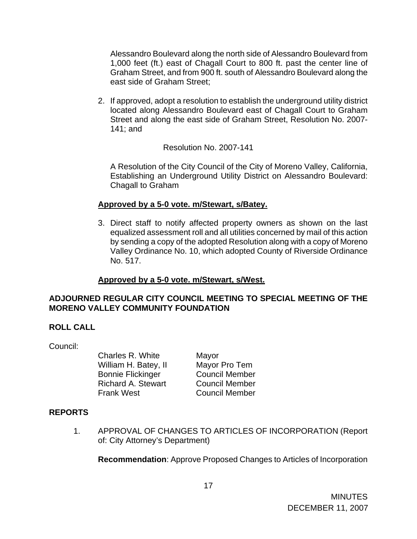Alessandro Boulevard along the north side of Alessandro Boulevard from 1,000 feet (ft.) east of Chagall Court to 800 ft. past the center line of Graham Street, and from 900 ft. south of Alessandro Boulevard along the east side of Graham Street;

2. If approved, adopt a resolution to establish the underground utility district located along Alessandro Boulevard east of Chagall Court to Graham Street and along the east side of Graham Street, Resolution No. 2007- 141; and

Resolution No. 2007-141

A Resolution of the City Council of the City of Moreno Valley, California, Establishing an Underground Utility District on Alessandro Boulevard: Chagall to Graham

## **Approved by a 5-0 vote. m/Stewart, s/Batey.**

3. Direct staff to notify affected property owners as shown on the last equalized assessment roll and all utilities concerned by mail of this action by sending a copy of the adopted Resolution along with a copy of Moreno Valley Ordinance No. 10, which adopted County of Riverside Ordinance No. 517.

# **Approved by a 5-0 vote. m/Stewart, s/West.**

## **ADJOURNED REGULAR CITY COUNCIL MEETING TO SPECIAL MEETING OF THE MORENO VALLEY COMMUNITY FOUNDATION**

# **ROLL CALL**

Council:

Charles R. White Mayor<br>
William H. Batev, II Mayor Pro Tem William H. Batey, II Bonnie Flickinger Council Member Richard A. Stewart Council Member Frank West Council Member

# **REPORTS**

1. APPROVAL OF CHANGES TO ARTICLES OF INCORPORATION (Report of: City Attorney's Department)

**Recommendation**: Approve Proposed Changes to Articles of Incorporation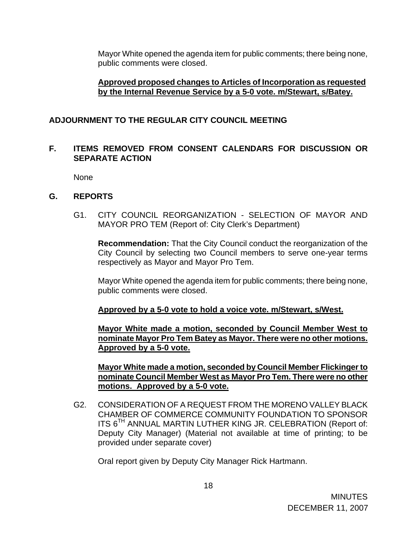Mayor White opened the agenda item for public comments; there being none, public comments were closed.

### **Approved proposed changes to Articles of Incorporation as requested by the Internal Revenue Service by a 5-0 vote. m/Stewart, s/Batey.**

## **ADJOURNMENT TO THE REGULAR CITY COUNCIL MEETING**

## **F. ITEMS REMOVED FROM CONSENT CALENDARS FOR DISCUSSION OR SEPARATE ACTION**

None

## **G. REPORTS**

G1. CITY COUNCIL REORGANIZATION - SELECTION OF MAYOR AND MAYOR PRO TEM (Report of: City Clerk's Department)

**Recommendation:** That the City Council conduct the reorganization of the City Council by selecting two Council members to serve one-year terms respectively as Mayor and Mayor Pro Tem.

 Mayor White opened the agenda item for public comments; there being none, public comments were closed.

**Approved by a 5-0 vote to hold a voice vote. m/Stewart, s/West.**

 **Mayor White made a motion, seconded by Council Member West to nominate Mayor Pro Tem Batey as Mayor. There were no other motions. Approved by a 5-0 vote.**

 **Mayor White made a motion, seconded by Council Member Flickinger to nominate Council Member West as Mayor Pro Tem. There were no other motions. Approved by a 5-0 vote.**

G2. CONSIDERATION OF A REQUEST FROM THE MORENO VALLEY BLACK CHAMBER OF COMMERCE COMMUNITY FOUNDATION TO SPONSOR ITS 6<sup>TH</sup> ANNUAL MARTIN LUTHER KING JR. CELEBRATION (Report of: Deputy City Manager) (Material not available at time of printing; to be provided under separate cover)

Oral report given by Deputy City Manager Rick Hartmann.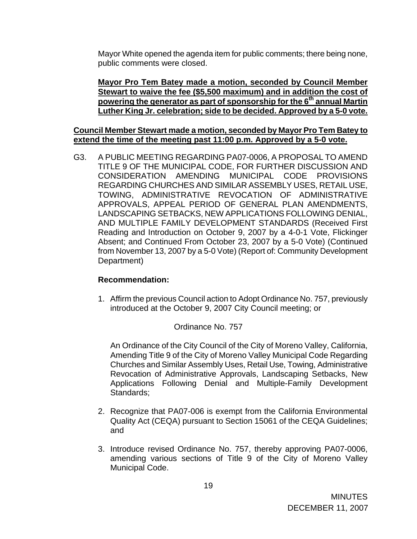Mayor White opened the agenda item for public comments; there being none, public comments were closed.

**Mayor Pro Tem Batey made a motion, seconded by Council Member Stewart to waive the fee (\$5,500 maximum) and in addition the cost of**  powering the generator as part of sponsorship for the 6<sup>th</sup> annual Martin **Luther King Jr. celebration; side to be decided. Approved by a 5-0 vote.** 

### **Council Member Stewart made a motion, seconded by Mayor Pro Tem Batey to extend the time of the meeting past 11:00 p.m. Approved by a 5-0 vote.**

G3. A PUBLIC MEETING REGARDING PA07-0006, A PROPOSAL TO AMEND TITLE 9 OF THE MUNICIPAL CODE, FOR FURTHER DISCUSSION AND CONSIDERATION AMENDING MUNICIPAL CODE PROVISIONS REGARDING CHURCHES AND SIMILAR ASSEMBLY USES, RETAIL USE, TOWING, ADMINISTRATIVE REVOCATION OF ADMINISTRATIVE APPROVALS, APPEAL PERIOD OF GENERAL PLAN AMENDMENTS, LANDSCAPING SETBACKS, NEW APPLICATIONS FOLLOWING DENIAL, AND MULTIPLE FAMILY DEVELOPMENT STANDARDS (Received First Reading and Introduction on October 9, 2007 by a 4-0-1 Vote, Flickinger Absent; and Continued From October 23, 2007 by a 5-0 Vote) (Continued from November 13, 2007 by a 5-0 Vote) (Report of: Community Development Department)

### **Recommendation:**

1. Affirm the previous Council action to Adopt Ordinance No. 757, previously introduced at the October 9, 2007 City Council meeting; or

### Ordinance No. 757

An Ordinance of the City Council of the City of Moreno Valley, California, Amending Title 9 of the City of Moreno Valley Municipal Code Regarding Churches and Similar Assembly Uses, Retail Use, Towing, Administrative Revocation of Administrative Approvals, Landscaping Setbacks, New Applications Following Denial and Multiple-Family Development Standards;

- 2. Recognize that PA07-006 is exempt from the California Environmental Quality Act (CEQA) pursuant to Section 15061 of the CEQA Guidelines; and
- 3. Introduce revised Ordinance No. 757, thereby approving PA07-0006, amending various sections of Title 9 of the City of Moreno Valley Municipal Code.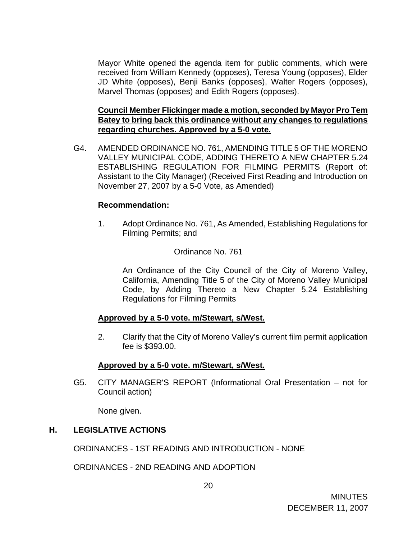Mayor White opened the agenda item for public comments, which were received from William Kennedy (opposes), Teresa Young (opposes), Elder JD White (opposes), Benji Banks (opposes), Walter Rogers (opposes), Marvel Thomas (opposes) and Edith Rogers (opposes).

### **Council Member Flickinger made a motion, seconded by Mayor Pro Tem Batey to bring back this ordinance without any changes to regulations regarding churches. Approved by a 5-0 vote.**

G4. AMENDED ORDINANCE NO. 761, AMENDING TITLE 5 OF THE MORENO VALLEY MUNICIPAL CODE, ADDING THERETO A NEW CHAPTER 5.24 ESTABLISHING REGULATION FOR FILMING PERMITS (Report of: Assistant to the City Manager) (Received First Reading and Introduction on November 27, 2007 by a 5-0 Vote, as Amended)

### **Recommendation:**

1. Adopt Ordinance No. 761, As Amended, Establishing Regulations for Filming Permits; and

## Ordinance No. 761

An Ordinance of the City Council of the City of Moreno Valley, California, Amending Title 5 of the City of Moreno Valley Municipal Code, by Adding Thereto a New Chapter 5.24 Establishing Regulations for Filming Permits

### **Approved by a 5-0 vote. m/Stewart, s/West.**

2. Clarify that the City of Moreno Valley's current film permit application fee is \$393.00.

### **Approved by a 5-0 vote. m/Stewart, s/West.**

G5. CITY MANAGER'S REPORT (Informational Oral Presentation – not for Council action)

None given.

# **H. LEGISLATIVE ACTIONS**

ORDINANCES - 1ST READING AND INTRODUCTION - NONE

ORDINANCES - 2ND READING AND ADOPTION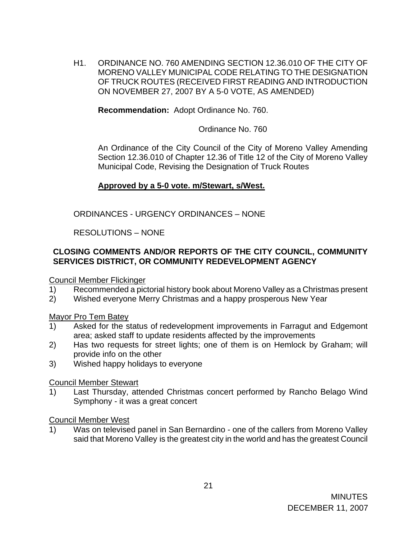H1. ORDINANCE NO. 760 AMENDING SECTION 12.36.010 OF THE CITY OF MORENO VALLEY MUNICIPAL CODE RELATING TO THE DESIGNATION OF TRUCK ROUTES (RECEIVED FIRST READING AND INTRODUCTION ON NOVEMBER 27, 2007 BY A 5-0 VOTE, AS AMENDED)

**Recommendation:** Adopt Ordinance No. 760.

Ordinance No. 760

An Ordinance of the City Council of the City of Moreno Valley Amending Section 12.36.010 of Chapter 12.36 of Title 12 of the City of Moreno Valley Municipal Code, Revising the Designation of Truck Routes

# **Approved by a 5-0 vote. m/Stewart, s/West.**

ORDINANCES - URGENCY ORDINANCES – NONE

## RESOLUTIONS – NONE

# **CLOSING COMMENTS AND/OR REPORTS OF THE CITY COUNCIL, COMMUNITY SERVICES DISTRICT, OR COMMUNITY REDEVELOPMENT AGENCY**

Council Member Flickinger

- 1) Recommended a pictorial history book about Moreno Valley as a Christmas present
- 2) Wished everyone Merry Christmas and a happy prosperous New Year

### Mayor Pro Tem Batey

- 1) Asked for the status of redevelopment improvements in Farragut and Edgemont area; asked staff to update residents affected by the improvements
- 2) Has two requests for street lights; one of them is on Hemlock by Graham; will provide info on the other
- 3) Wished happy holidays to everyone

### Council Member Stewart

1) Last Thursday, attended Christmas concert performed by Rancho Belago Wind Symphony - it was a great concert

### Council Member West

1) Was on televised panel in San Bernardino - one of the callers from Moreno Valley said that Moreno Valley is the greatest city in the world and has the greatest Council